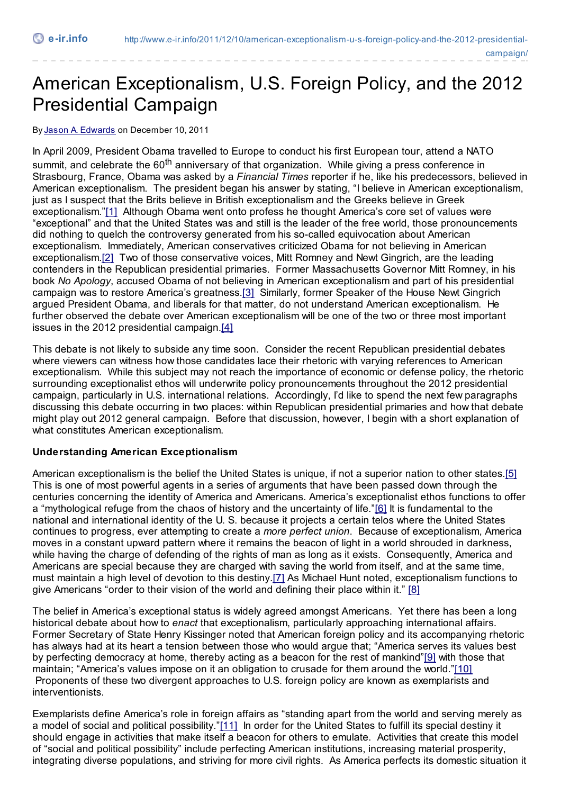# American Exceptionalism, U.S. Foreign Policy, and the 2012 Presidential Campaign

By [Jason A. Edwards](http://www.e-ir.info/author/jason-a-edwards/) on December 10, 2011

In April 2009, President Obama travelled to Europe to conduct his first European tour, attend a NATO summit, and celebrate the 60<sup>th</sup> anniversary of that organization. While giving a press conference in Strasbourg, France, Obama was asked by a *Financial Times* reporter if he, like his predecessors, believed in American exceptionalism. The president began his answer by stating, "I believe in American exceptionalism, just as I suspect that the Brits believe in British exceptionalism and the Greeks believe in Greek exceptionalism."[\[1\]](http://www.e-ir.info/2011/12/10/american-exceptionalism-u-s-foreign-policy-and-the-2012-presidential-campaign/#_edn1) Although Obama went onto profess he thought America's core set of values were "exceptional" and that the United States was and still is the leader of the free world, those pronouncements did nothing to quelch the controversy generated from his so-called equivocation about American exceptionalism. Immediately, American conservatives criticized Obama for not believing in American exceptionalism.<sup>[2]</sup> Two of those conservative voices, Mitt Romney and Newt Gingrich, are the leading contenders in the Republican presidential primaries. Former Massachusetts Governor Mitt Romney, in his book *No Apology*, accused Obama of not believing in American exceptionalism and part of his presidential campaign was to restore America's greatness[.\[3\]](http://www.e-ir.info/2011/12/10/american-exceptionalism-u-s-foreign-policy-and-the-2012-presidential-campaign/#_edn3) Similarly, former Speaker of the House Newt Gingrich argued President Obama, and liberals for that matter, do not understand American exceptionalism. He further observed the debate over American exceptionalism will be one of the two or three most important issues in the 2012 presidential campaign.[\[4\]](http://www.e-ir.info/2011/12/10/american-exceptionalism-u-s-foreign-policy-and-the-2012-presidential-campaign/#_edn4)

This debate is not likely to subside any time soon. Consider the recent Republican presidential debates where viewers can witness how those candidates lace their rhetoric with varying references to American exceptionalism. While this subject may not reach the importance of economic or defense policy, the rhetoric surrounding exceptionalist ethos will underwrite policy pronouncements throughout the 2012 presidential campaign, particularly in U.S. international relations. Accordingly, I'd like to spend the next few paragraphs discussing this debate occurring in two places: within Republican presidential primaries and how that debate might play out 2012 general campaign. Before that discussion, however, I begin with a short explanation of what constitutes American exceptionalism.

## **Understanding American Exceptionalism**

American exceptionalism is the belief the United States is unique, if not a superior nation to other states[.\[5\]](http://www.e-ir.info/2011/12/10/american-exceptionalism-u-s-foreign-policy-and-the-2012-presidential-campaign/#_edn5) This is one of most powerful agents in a series of arguments that have been passed down through the centuries concerning the identity of America and Americans. America's exceptionalist ethos functions to offer a "mythological refuge from the chaos of history and the uncertainty of life.["\[6\]](http://www.e-ir.info/2011/12/10/american-exceptionalism-u-s-foreign-policy-and-the-2012-presidential-campaign/#_edn6) It is fundamental to the national and international identity of the U. S. because it projects a certain telos where the United States continues to progress, ever attempting to create a *more perfect union*. Because of exceptionalism, America moves in a constant upward pattern where it remains the beacon of light in a world shrouded in darkness, while having the charge of defending of the rights of man as long as it exists. Consequently, America and Americans are special because they are charged with saving the world from itself, and at the same time, must maintain a high level of devotion to this destiny[.\[7\]](http://www.e-ir.info/2011/12/10/american-exceptionalism-u-s-foreign-policy-and-the-2012-presidential-campaign/#_edn7) As Michael Hunt noted, exceptionalism functions to give Americans "order to their vision of the world and defining their place within it." [\[8\]](http://www.e-ir.info/2011/12/10/american-exceptionalism-u-s-foreign-policy-and-the-2012-presidential-campaign/#_edn8)

The belief in America's exceptional status is widely agreed amongst Americans. Yet there has been a long historical debate about how to *enact* that exceptionalism, particularly approaching international affairs. Former Secretary of State Henry Kissinger noted that American foreign policy and its accompanying rhetoric has always had at its heart a tension between those who would argue that; "America serves its values best by perfecting democracy at home, thereby acting as a beacon for the rest of mankind"[\[9\]](http://www.e-ir.info/2011/12/10/american-exceptionalism-u-s-foreign-policy-and-the-2012-presidential-campaign/#_edn9) with those that maintain; "America's values impose on it an obligation to crusade for them around the world.["\[10\]](http://www.e-ir.info/2011/12/10/american-exceptionalism-u-s-foreign-policy-and-the-2012-presidential-campaign/#_edn10) Proponents of these two divergent approaches to U.S. foreign policy are known as exemplarists and interventionists.

Exemplarists define America's role in foreign affairs as "standing apart from the world and serving merely as a model of social and political possibility.["\[11\]](http://www.e-ir.info/2011/12/10/american-exceptionalism-u-s-foreign-policy-and-the-2012-presidential-campaign/#_edn11) In order for the United States to fulfill its special destiny it should engage in activities that make itself a beacon for others to emulate. Activities that create this model of "social and political possibility" include perfecting American institutions, increasing material prosperity, integrating diverse populations, and striving for more civil rights. As America perfects its domestic situation it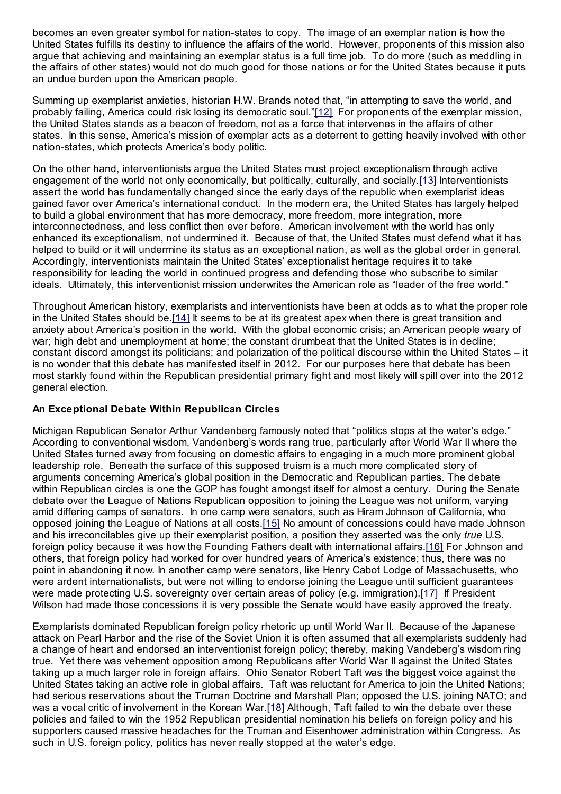becomes an even greater symbol for nation-states to copy. The image of an exemplar nation is how the United States fulfills its destiny to influence the affairs of the world. However, proponents of this mission also argue that achieving and maintaining an exemplar status is a full time job. To do more (such as meddling in the affairs of other states) would not do much good for those nations or for the United States because it puts an undue burden upon the American people.

Summing up exemplarist anxieties, historian H.W. Brands noted that, "in attempting to save the world, and probably failing, America could risk losing its democratic soul."[\[12\]](http://www.e-ir.info/2011/12/10/american-exceptionalism-u-s-foreign-policy-and-the-2012-presidential-campaign/#_edn12) For proponents of the exemplar mission, the United States stands as a beacon of freedom, not as a force that intervenes in the affairs of other states. In this sense, America's mission of exemplar acts as a deterrent to getting heavily involved with other nation-states, which protects America's body politic.

On the other hand, interventionists argue the United States must project exceptionalism through active engagement of the world not only economically, but politically, culturally, and socially[.\[13\]](http://www.e-ir.info/2011/12/10/american-exceptionalism-u-s-foreign-policy-and-the-2012-presidential-campaign/#_edn13) Interventionists assert the world has fundamentally changed since the early days of the republic when exemplarist ideas gained favor over America's international conduct. In the modern era, the United States has largely helped to build a global environment that has more democracy, more freedom, more integration, more interconnectedness, and less conflict then ever before. American involvement with the world has only enhanced its exceptionalism, not undermined it. Because of that, the United States must defend what it has helped to build or it will undermine its status as an exceptional nation, as well as the global order in general. Accordingly, interventionists maintain the United States' exceptionalist heritage requires it to take responsibility for leading the world in continued progress and defending those who subscribe to similar ideals. Ultimately, this interventionist mission underwrites the American role as "leader of the free world."

Throughout American history, exemplarists and interventionists have been at odds as to what the proper role in the United States should be[.\[14\]](http://www.e-ir.info/2011/12/10/american-exceptionalism-u-s-foreign-policy-and-the-2012-presidential-campaign/#_edn14) It seems to be at its greatest apex when there is great transition and anxiety about America's position in the world. With the global economic crisis; an American people weary of war; high debt and unemployment at home; the constant drumbeat that the United States is in decline; constant discord amongst its politicians; and polarization of the political discourse within the United States – it is no wonder that this debate has manifested itself in 2012. For our purposes here that debate has been most starkly found within the Republican presidential primary fight and most likely will spill over into the 2012 general election.

## **An Exceptional Debate Within Republican Circles**

Michigan Republican Senator Arthur Vandenberg famously noted that "politics stops at the water's edge." According to conventional wisdom, Vandenberg's words rang true, particularly after World War II where the United States turned away from focusing on domestic affairs to engaging in a much more prominent global leadership role. Beneath the surface of this supposed truism is a much more complicated story of arguments concerning America's global position in the Democratic and Republican parties. The debate within Republican circles is one the GOP has fought amongst itself for almost a century. During the Senate debate over the League of Nations Republican opposition to joining the League was not uniform, varying amid differing camps of senators. In one camp were senators, such as Hiram Johnson of California, who opposed joining the League of Nations at all costs[.\[15\]](http://www.e-ir.info/2011/12/10/american-exceptionalism-u-s-foreign-policy-and-the-2012-presidential-campaign/#_edn15) No amount of concessions could have made Johnson and his irreconcilables give up their exemplarist position, a position they asserted was the only *true* U.S. foreign policy because it was how the Founding Fathers dealt with international affairs[.\[16\]](http://www.e-ir.info/2011/12/10/american-exceptionalism-u-s-foreign-policy-and-the-2012-presidential-campaign/#_edn16) For Johnson and others, that foreign policy had worked for over hundred years of America's existence; thus, there was no point in abandoning it now. In another camp were senators, like Henry Cabot Lodge of Massachusetts, who were ardent internationalists, but were not willing to endorse joining the League until sufficient guarantees were made protecting U.S. sovereignty over certain areas of policy (e.g. immigration)[.\[17\]](http://www.e-ir.info/2011/12/10/american-exceptionalism-u-s-foreign-policy-and-the-2012-presidential-campaign/#_edn17) If President Wilson had made those concessions it is very possible the Senate would have easily approved the treaty.

Exemplarists dominated Republican foreign policy rhetoric up until World War II. Because of the Japanese attack on Pearl Harbor and the rise of the Soviet Union it is often assumed that all exemplarists suddenly had a change of heart and endorsed an interventionist foreign policy; thereby, making Vandeberg's wisdom ring true. Yet there was vehement opposition among Republicans after World War II against the United States taking up a much larger role in foreign affairs. Ohio Senator Robert Taft was the biggest voice against the United States taking an active role in global affairs. Taft was reluctant for America to join the United Nations; had serious reservations about the Truman Doctrine and Marshall Plan; opposed the U.S. joining NATO; and was a vocal critic of involvement in the Korean War[.\[18\]](http://www.e-ir.info/2011/12/10/american-exceptionalism-u-s-foreign-policy-and-the-2012-presidential-campaign/#_edn18) Although, Taft failed to win the debate over these policies and failed to win the 1952 Republican presidential nomination his beliefs on foreign policy and his supporters caused massive headaches for the Truman and Eisenhower administration within Congress. As such in U.S. foreign policy, politics has never really stopped at the water's edge.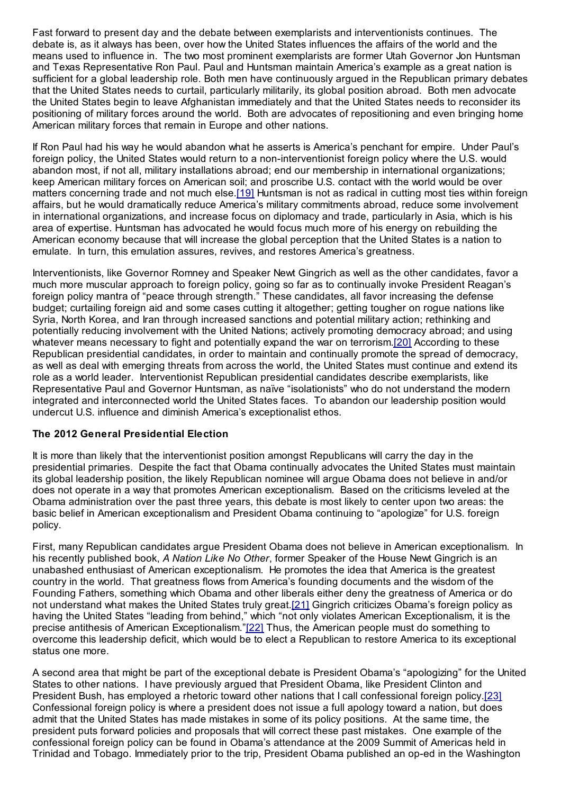Fast forward to present day and the debate between exemplarists and interventionists continues. The debate is, as it always has been, over how the United States influences the affairs of the world and the means used to influence in. The two most prominent exemplarists are former Utah Governor Jon Huntsman and Texas Representative Ron Paul. Paul and Huntsman maintain America's example as a great nation is sufficient for a global leadership role. Both men have continuously argued in the Republican primary debates that the United States needs to curtail, particularly militarily, its global position abroad. Both men advocate the United States begin to leave Afghanistan immediately and that the United States needs to reconsider its positioning of military forces around the world. Both are advocates of repositioning and even bringing home American military forces that remain in Europe and other nations.

If Ron Paul had his way he would abandon what he asserts is America's penchant for empire. Under Paul's foreign policy, the United States would return to a non-interventionist foreign policy where the U.S. would abandon most, if not all, military installations abroad; end our membership in international organizations; keep American military forces on American soil; and proscribe U.S. contact with the world would be over matters concerning trade and not much else.[\[19\]](http://www.e-ir.info/2011/12/10/american-exceptionalism-u-s-foreign-policy-and-the-2012-presidential-campaign/#_edn19) Huntsman is not as radical in cutting most ties within foreign affairs, but he would dramatically reduce America's military commitments abroad, reduce some involvement in international organizations, and increase focus on diplomacy and trade, particularly in Asia, which is his area of expertise. Huntsman has advocated he would focus much more of his energy on rebuilding the American economy because that will increase the global perception that the United States is a nation to emulate. In turn, this emulation assures, revives, and restores America's greatness.

Interventionists, like Governor Romney and Speaker Newt Gingrich as well as the other candidates, favor a much more muscular approach to foreign policy, going so far as to continually invoke President Reagan's foreign policy mantra of "peace through strength." These candidates, all favor increasing the defense budget; curtailing foreign aid and some cases cutting it altogether; getting tougher on rogue nations like Syria, North Korea, and Iran through increased sanctions and potential military action; rethinking and potentially reducing involvement with the United Nations; actively promoting democracy abroad; and using whatever means necessary to fight and potentially expand the war on terrorism[.\[20\]](http://www.e-ir.info/2011/12/10/american-exceptionalism-u-s-foreign-policy-and-the-2012-presidential-campaign/#_edn20) According to these Republican presidential candidates, in order to maintain and continually promote the spread of democracy, as well as deal with emerging threats from across the world, the United States must continue and extend its role as a world leader. Interventionist Republican presidential candidates describe exemplarists, like Representative Paul and Governor Huntsman, as naïve "isolationists" who do not understand the modern integrated and interconnected world the United States faces. To abandon our leadership position would undercut U.S. influence and diminish America's exceptionalist ethos.

## **The 2012 General Presidential Election**

It is more than likely that the interventionist position amongst Republicans will carry the day in the presidential primaries. Despite the fact that Obama continually advocates the United States must maintain its global leadership position, the likely Republican nominee will argue Obama does not believe in and/or does not operate in a way that promotes American exceptionalism. Based on the criticisms leveled at the Obama administration over the past three years, this debate is most likely to center upon two areas: the basic belief in American exceptionalism and President Obama continuing to "apologize" for U.S. foreign policy.

First, many Republican candidates argue President Obama does not believe in American exceptionalism. In his recently published book, *A Nation Like No Other*, former Speaker of the House Newt Gingrich is an unabashed enthusiast of American exceptionalism. He promotes the idea that America is the greatest country in the world. That greatness flows from America's founding documents and the wisdom of the Founding Fathers, something which Obama and other liberals either deny the greatness of America or do not understand what makes the United States truly great[.\[21\]](http://www.e-ir.info/2011/12/10/american-exceptionalism-u-s-foreign-policy-and-the-2012-presidential-campaign/#_edn21) Gingrich criticizes Obama's foreign policy as having the United States "leading from behind," which "not only violates American Exceptionalism, it is the precise antithesis of American Exceptionalism."[\[22\]](http://www.e-ir.info/2011/12/10/american-exceptionalism-u-s-foreign-policy-and-the-2012-presidential-campaign/#_edn22) Thus, the American people must do something to overcome this leadership deficit, which would be to elect a Republican to restore America to its exceptional status one more.

A second area that might be part of the exceptional debate is President Obama's "apologizing" for the United States to other nations. I have previously argued that President Obama, like President Clinton and President Bush, has employed a rhetoric toward other nations that I call confessional foreign policy[.\[23\]](http://www.e-ir.info/2011/12/10/american-exceptionalism-u-s-foreign-policy-and-the-2012-presidential-campaign/#_edn23) Confessional foreign policy is where a president does not issue a full apology toward a nation, but does admit that the United States has made mistakes in some of its policy positions. At the same time, the president puts forward policies and proposals that will correct these past mistakes. One example of the confessional foreign policy can be found in Obama's attendance at the 2009 Summit of Americas held in Trinidad and Tobago. Immediately prior to the trip, President Obama published an op-ed in the Washington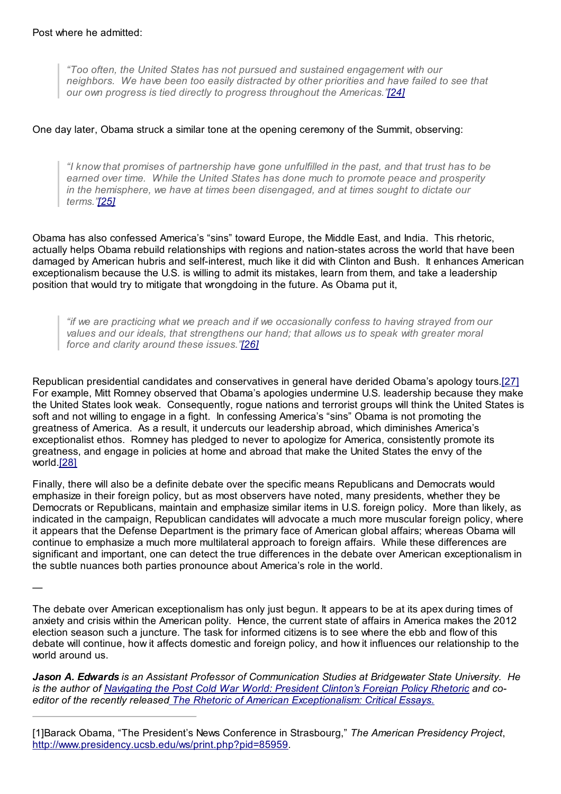*"Too often, the United States has not pursued and sustained engagement with our neighbors. We have been too easily distracted by other priorities and have failed to see that our own progress is tied directly to progress throughout the Americas.["\[24\]](http://www.e-ir.info/2011/12/10/american-exceptionalism-u-s-foreign-policy-and-the-2012-presidential-campaign/#_edn24)*

### One day later, Obama struck a similar tone at the opening ceremony of the Summit, observing:

*"I know that promises of partnership have gone unfulfilled in the past, and that trust has to be earned over time. While the United States has done much to promote peace and prosperity in the hemisphere, we have at times been disengaged, and at times sought to dictate our terms.["\[25\]](http://www.e-ir.info/2011/12/10/american-exceptionalism-u-s-foreign-policy-and-the-2012-presidential-campaign/#_edn25)*

Obama has also confessed America's "sins" toward Europe, the Middle East, and India. This rhetoric, actually helps Obama rebuild relationships with regions and nation-states across the world that have been damaged by American hubris and self-interest, much like it did with Clinton and Bush. It enhances American exceptionalism because the U.S. is willing to admit its mistakes, learn from them, and take a leadership position that would try to mitigate that wrongdoing in the future. As Obama put it,

*"if we are practicing what we preach and if we occasionally confess to having strayed from our values and our ideals, that strengthens our hand; that allows us to speak with greater moral force and clarity around these issues.["\[26\]](http://www.e-ir.info/2011/12/10/american-exceptionalism-u-s-foreign-policy-and-the-2012-presidential-campaign/#_edn26)*

Republican presidential candidates and conservatives in general have derided Obama's apology tours[.\[27\]](http://www.e-ir.info/2011/12/10/american-exceptionalism-u-s-foreign-policy-and-the-2012-presidential-campaign/#_edn27) For example, Mitt Romney observed that Obama's apologies undermine U.S. leadership because they make the United States look weak. Consequently, rogue nations and terrorist groups will think the United States is soft and not willing to engage in a fight. In confessing America's "sins" Obama is not promoting the greatness of America. As a result, it undercuts our leadership abroad, which diminishes America's exceptionalist ethos. Romney has pledged to never to apologize for America, consistently promote its greatness, and engage in policies at home and abroad that make the United States the envy of the world.[\[28\]](http://www.e-ir.info/2011/12/10/american-exceptionalism-u-s-foreign-policy-and-the-2012-presidential-campaign/#_edn28)

Finally, there will also be a definite debate over the specific means Republicans and Democrats would emphasize in their foreign policy, but as most observers have noted, many presidents, whether they be Democrats or Republicans, maintain and emphasize similar items in U.S. foreign policy. More than likely, as indicated in the campaign, Republican candidates will advocate a much more muscular foreign policy, where it appears that the Defense Department is the primary face of American global affairs; whereas Obama will continue to emphasize a much more multilateral approach to foreign affairs. While these differences are significant and important, one can detect the true differences in the debate over American exceptionalism in the subtle nuances both parties pronounce about America's role in the world.

—

The debate over American exceptionalism has only just begun. It appears to be at its apex during times of anxiety and crisis within the American polity. Hence, the current state of affairs in America makes the 2012 election season such a juncture. The task for informed citizens is to see where the ebb and flow of this debate will continue, how it affects domestic and foreign policy, and how it influences our relationship to the world around us.

*Jason A. Edwards is an Assistant Professor of Communication Studies at Bridgewater State University. He* is the author of [Navigating the Post Cold War World: President Clinton's Foreign Policy Rhetoric](http://www.amazon.com/Navigating-Post-Cold-War-World-Communication/dp/0739122266) and co*editor of the recently release[d The Rhetoric of American Exceptionalism: Critical Essays.](http://www.amazon.com/Rhetoric-American-Exceptionalism-Critical-Essays/dp/0786459700)*

[1]Barack Obama, "The President's News Conference in Strasbourg," *The American Presidency Project*, <http://www.presidency.ucsb.edu/ws/print.php?pid=85959>.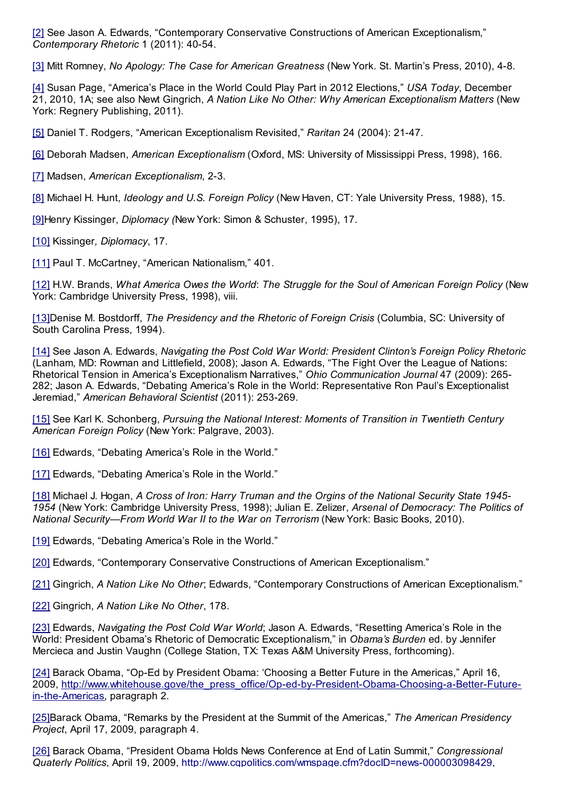[\[2\]](http://www.e-ir.info/2011/12/10/american-exceptionalism-u-s-foreign-policy-and-the-2012-presidential-campaign/#_ednref2) See Jason A. Edwards, "Contemporary Conservative Constructions of American Exceptionalism," *Contemporary Rhetoric* 1 (2011): 40-54.

[\[3\]](http://www.e-ir.info/2011/12/10/american-exceptionalism-u-s-foreign-policy-and-the-2012-presidential-campaign/#_ednref3) Mitt Romney, *No Apology: The Case for American Greatness* (New York. St. Martin's Press, 2010), 4-8.

[\[4\]](http://www.e-ir.info/2011/12/10/american-exceptionalism-u-s-foreign-policy-and-the-2012-presidential-campaign/#_ednref4) Susan Page, "America's Place in the World Could Play Part in 2012 Elections," *USA Today*, December 21, 2010, 1A; see also Newt Gingrich, *A Nation Like No Other: Why American Exceptionalism Matters* (New York: Regnery Publishing, 2011).

[\[5\]](http://www.e-ir.info/2011/12/10/american-exceptionalism-u-s-foreign-policy-and-the-2012-presidential-campaign/#_ednref5) Daniel T. Rodgers, "American Exceptionalism Revisited," *Raritan* 24 (2004): 21-47.

[\[6\]](http://www.e-ir.info/2011/12/10/american-exceptionalism-u-s-foreign-policy-and-the-2012-presidential-campaign/#_ednref6) Deborah Madsen, *American Exceptionalism* (Oxford, MS: University of Mississippi Press, 1998), 166.

[\[7\]](http://www.e-ir.info/2011/12/10/american-exceptionalism-u-s-foreign-policy-and-the-2012-presidential-campaign/#_ednref7) Madsen, *American Exceptionalism*, 2-3.

[\[8\]](http://www.e-ir.info/2011/12/10/american-exceptionalism-u-s-foreign-policy-and-the-2012-presidential-campaign/#_ednref8) Michael H. Hunt, *Ideology and U.S. Foreign Policy* (New Haven, CT: Yale University Press, 1988), 15.

[\[9\]](http://www.e-ir.info/2011/12/10/american-exceptionalism-u-s-foreign-policy-and-the-2012-presidential-campaign/#_ednref9)Henry Kissinger, *Diplomacy (*New York: Simon & Schuster, 1995), 17.

[\[10\]](http://www.e-ir.info/2011/12/10/american-exceptionalism-u-s-foreign-policy-and-the-2012-presidential-campaign/#_ednref10) Kissinger*, Diplomacy*, 17.

[\[11\]](http://www.e-ir.info/2011/12/10/american-exceptionalism-u-s-foreign-policy-and-the-2012-presidential-campaign/#_ednref11) Paul T. McCartney, "American Nationalism," 401.

[\[12\]](http://www.e-ir.info/2011/12/10/american-exceptionalism-u-s-foreign-policy-and-the-2012-presidential-campaign/#_ednref12) H.W. Brands, *What America Owes the World*: *The Struggle for the Soul of American Foreign Policy* (New York: Cambridge University Press, 1998), viii.

[\[13\]](http://www.e-ir.info/2011/12/10/american-exceptionalism-u-s-foreign-policy-and-the-2012-presidential-campaign/#_ednref13)Denise M. Bostdorff, *The Presidency and the Rhetoric of Foreign Crisis* (Columbia, SC: University of South Carolina Press, 1994).

[\[14\]](http://www.e-ir.info/2011/12/10/american-exceptionalism-u-s-foreign-policy-and-the-2012-presidential-campaign/#_ednref14) See Jason A. Edwards, *Navigating the Post Cold War World: President Clinton's Foreign Policy Rhetoric* (Lanham, MD: Rowman and Littlefield, 2008); Jason A. Edwards, "The Fight Over the League of Nations: Rhetorical Tension in America's Exceptionalism Narratives," *Ohio Communication Journal* 47 (2009): 265- 282; Jason A. Edwards, "Debating America's Role in the World: Representative Ron Paul's Exceptionalist Jeremiad," *American Behavioral Scientist* (2011): 253-269.

[\[15\]](http://www.e-ir.info/2011/12/10/american-exceptionalism-u-s-foreign-policy-and-the-2012-presidential-campaign/#_ednref15) See Karl K. Schonberg, *Pursuing the National Interest: Moments of Transition in Twentieth Century American Foreign Policy* (New York: Palgrave, 2003).

[\[16\]](http://www.e-ir.info/2011/12/10/american-exceptionalism-u-s-foreign-policy-and-the-2012-presidential-campaign/#_ednref16) Edwards, "Debating America's Role in the World."

[\[17\]](http://www.e-ir.info/2011/12/10/american-exceptionalism-u-s-foreign-policy-and-the-2012-presidential-campaign/#_ednref17) Edwards, "Debating America's Role in the World."

[\[18\]](http://www.e-ir.info/2011/12/10/american-exceptionalism-u-s-foreign-policy-and-the-2012-presidential-campaign/#_ednref18) Michael J. Hogan, *A Cross of Iron: Harry Truman and the Orgins of the National Security State 1945- 1954* (New York: Cambridge University Press, 1998); Julian E. Zelizer, *Arsenal of Democracy: The Politics of National Security—From World War II to the War on Terrorism* (New York: Basic Books, 2010).

[\[19\]](http://www.e-ir.info/2011/12/10/american-exceptionalism-u-s-foreign-policy-and-the-2012-presidential-campaign/#_ednref19) Edwards, "Debating America's Role in the World."

[\[20\]](http://www.e-ir.info/2011/12/10/american-exceptionalism-u-s-foreign-policy-and-the-2012-presidential-campaign/#_ednref20) Edwards, "Contemporary Conservative Constructions of American Exceptionalism."

[\[21\]](http://www.e-ir.info/2011/12/10/american-exceptionalism-u-s-foreign-policy-and-the-2012-presidential-campaign/#_ednref21) Gingrich, *A Nation Like No Other*; Edwards, "Contemporary Constructions of American Exceptionalism."

[\[22\]](http://www.e-ir.info/2011/12/10/american-exceptionalism-u-s-foreign-policy-and-the-2012-presidential-campaign/#_ednref22) Gingrich, *A Nation Like No Other*, 178.

[\[23\]](http://www.e-ir.info/2011/12/10/american-exceptionalism-u-s-foreign-policy-and-the-2012-presidential-campaign/#_ednref23) Edwards, *Navigating the Post Cold War World*; Jason A. Edwards, "Resetting America's Role in the World: President Obama's Rhetoric of Democratic Exceptionalism," in *Obama's Burden* ed. by Jennifer Mercieca and Justin Vaughn (College Station, TX: Texas A&M University Press, forthcoming).

[\[24\]](http://www.e-ir.info/2011/12/10/american-exceptionalism-u-s-foreign-policy-and-the-2012-presidential-campaign/#_ednref24) Barack Obama, "Op-Ed by President Obama: 'Choosing a Better Future in the Americas," April 16, [2009, http://www.whitehouse.gove/the\\_press\\_office/Op-ed-by-President-Obama-Choosing-a-Better-Future](http://www.whitehouse.gove/the_press_office/Op-ed-by-President-Obama-Choosing-a-Better-Future-in-the-Americas)in-the-Americas, paragraph 2.

[\[25\]](http://www.e-ir.info/2011/12/10/american-exceptionalism-u-s-foreign-policy-and-the-2012-presidential-campaign/#_ednref25)Barack Obama, "Remarks by the President at the Summit of the Americas," *The American Presidency Project*, April 17, 2009, paragraph 4.

[\[26\]](http://www.e-ir.info/2011/12/10/american-exceptionalism-u-s-foreign-policy-and-the-2012-presidential-campaign/#_ednref26) Barack Obama, "President Obama Holds News Conference at End of Latin Summit," *Congressional Quaterly Politics*, April 19, 2009,<http://www.cqpolitics.com/wmspage.cfm?docID=news-000003098429>,